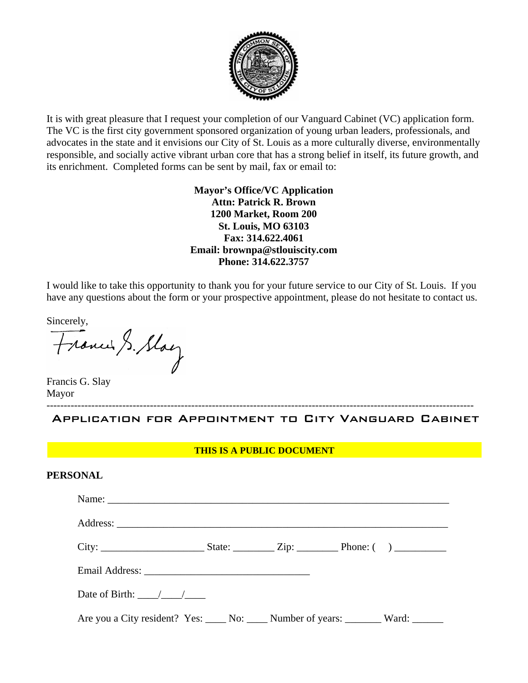

It is with great pleasure that I request your completion of our Vanguard Cabinet (VC) application form. The VC is the first city government sponsored organization of young urban leaders, professionals, and advocates in the state and it envisions our City of St. Louis as a more culturally diverse, environmentally responsible, and socially active vibrant urban core that has a strong belief in itself, its future growth, and its enrichment. Completed forms can be sent by mail, fax or email to:

> **Mayor's Office/VC Application Attn: Patrick R. Brown 1200 Market, Room 200 St. Louis, MO 63103 Fax: 314.622.4061 Email: brownpa@stlouiscity.com Phone: 314.622.3757**

I would like to take this opportunity to thank you for your future service to our City of St. Louis. If you have any questions about the form or your prospective appointment, please do not hesitate to contact us.

Sincerely,<br>Francis, Slay

Francis G. Slay Mayor

---------------------------------------------------------------------------------------------------------------------------- Application for Appointment to City Vanguard Cabinet

#### **THIS IS A PUBLIC DOCUMENT**

| <b>PERSONAL</b> |
|-----------------|
|-----------------|

| Name: $\frac{1}{2}$                                                                   |  |  |
|---------------------------------------------------------------------------------------|--|--|
|                                                                                       |  |  |
|                                                                                       |  |  |
|                                                                                       |  |  |
| Date of Birth: $\frac{\sqrt{1-\frac{1}{2}}}{\sqrt{1-\frac{1}{2}}}$                    |  |  |
| Are you a City resident? Yes: _____ No: _____ Number of years: ________ Ward: _______ |  |  |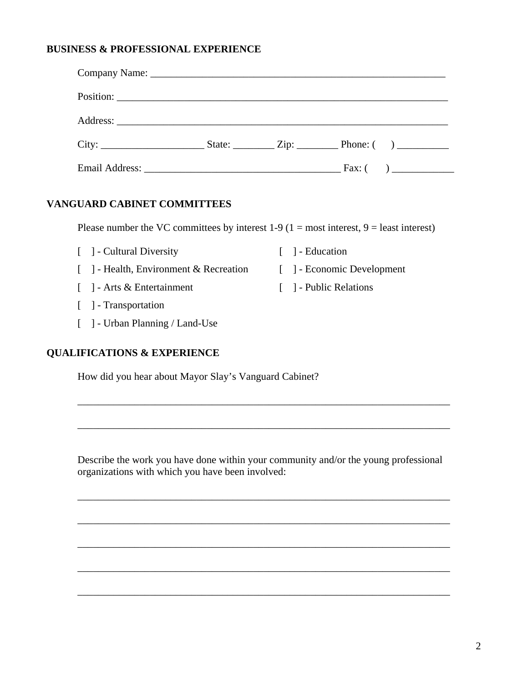### **BUSINESS & PROFESSIONAL EXPERIENCE**

#### **VANGUARD CABINET COMMITTEES**

Please number the VC committees by interest  $1-9$  ( $1 = \text{most interest}, 9 = \text{least interest}$ )

[ ] - Economic Development

[ ] - Public Relations

- [ ] Cultural Diversity [ ] - Education
- [ ] Health, Environment & Recreation
- [ ] Arts & Entertainment
- [ ] Transportation
- [ ] Urban Planning / Land-Use

#### **QUALIFICATIONS & EXPERIENCE**

How did you hear about Mayor Slay's Vanguard Cabinet?

Describe the work you have done within your community and/or the young professional organizations with which you have been involved:

\_\_\_\_\_\_\_\_\_\_\_\_\_\_\_\_\_\_\_\_\_\_\_\_\_\_\_\_\_\_\_\_\_\_\_\_\_\_\_\_\_\_\_\_\_\_\_\_\_\_\_\_\_\_\_\_\_\_\_\_\_\_\_\_\_\_\_\_\_\_\_\_

\_\_\_\_\_\_\_\_\_\_\_\_\_\_\_\_\_\_\_\_\_\_\_\_\_\_\_\_\_\_\_\_\_\_\_\_\_\_\_\_\_\_\_\_\_\_\_\_\_\_\_\_\_\_\_\_\_\_\_\_\_\_\_\_\_\_\_\_\_\_\_\_

\_\_\_\_\_\_\_\_\_\_\_\_\_\_\_\_\_\_\_\_\_\_\_\_\_\_\_\_\_\_\_\_\_\_\_\_\_\_\_\_\_\_\_\_\_\_\_\_\_\_\_\_\_\_\_\_\_\_\_\_\_\_\_\_\_\_\_\_\_\_\_\_

\_\_\_\_\_\_\_\_\_\_\_\_\_\_\_\_\_\_\_\_\_\_\_\_\_\_\_\_\_\_\_\_\_\_\_\_\_\_\_\_\_\_\_\_\_\_\_\_\_\_\_\_\_\_\_\_\_\_\_\_\_\_\_\_\_\_\_\_\_\_\_\_

\_\_\_\_\_\_\_\_\_\_\_\_\_\_\_\_\_\_\_\_\_\_\_\_\_\_\_\_\_\_\_\_\_\_\_\_\_\_\_\_\_\_\_\_\_\_\_\_\_\_\_\_\_\_\_\_\_\_\_\_\_\_\_\_\_\_\_\_\_\_\_\_

\_\_\_\_\_\_\_\_\_\_\_\_\_\_\_\_\_\_\_\_\_\_\_\_\_\_\_\_\_\_\_\_\_\_\_\_\_\_\_\_\_\_\_\_\_\_\_\_\_\_\_\_\_\_\_\_\_\_\_\_\_\_\_\_\_\_\_\_\_\_\_\_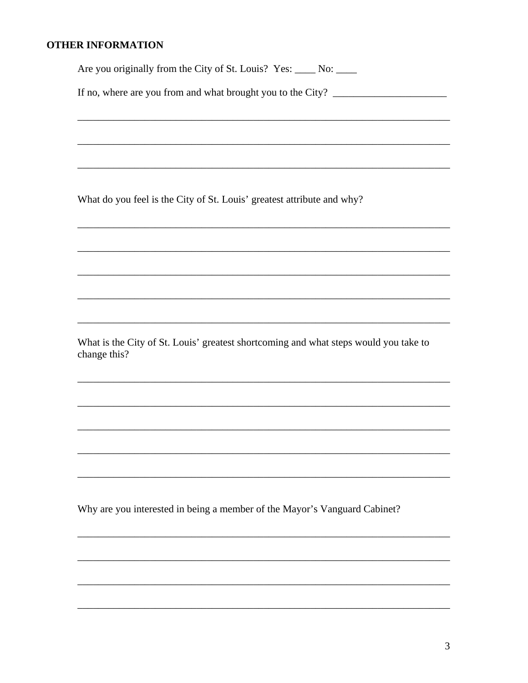# **OTHER INFORMATION**

Are you originally from the City of St. Louis? Yes: \_\_\_\_ No: \_\_\_\_

If no, where are you from and what brought you to the City?

What do you feel is the City of St. Louis' greatest attribute and why?

What is the City of St. Louis' greatest shortcoming and what steps would you take to change this?

Why are you interested in being a member of the Mayor's Vanguard Cabinet?